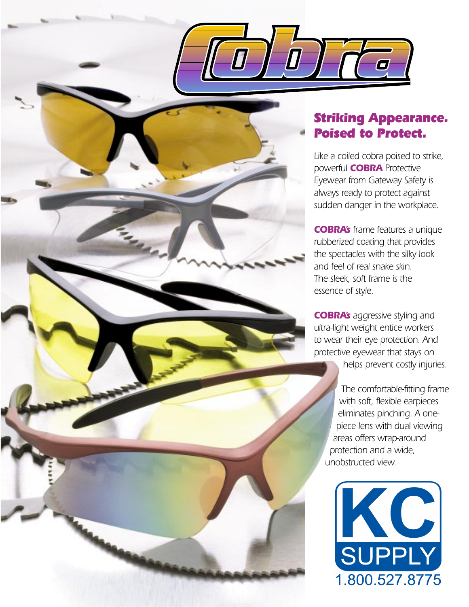



*Like a coiled cobra poised to strike, powerful COBRA Protective Eyewear from Gateway Safety is always ready to protect against sudden danger in the workplace.*

*COBRA's frame features a unique rubberized coating that provides the spectacles with the silky look and feel of real snake skin. The sleek, soft frame is the essence of style.* 

*COBRA's aggressive styling and ultra-light weight entice workers to wear their eye protection. And protective eyewear that stays on helps prevent costly injuries.* 

*The comfortable-fitting frame with soft, flexible earpieces eliminates pinching. A onepiece lens with dual viewing areas offers wrap-around protection and a wide, unobstructed view.*